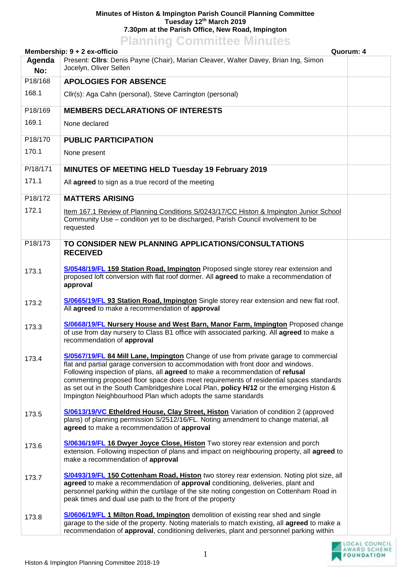## **Minutes of Histon & Impington Parish Council Planning Committee Tuesday 12th March 2019 7.30pm at the Parish Office, New Road, Impington Planning Committee Minutes**

| <b>Fianning Commutee Minutes</b>          |                                                                                                                                                                                                                                                                                                                                                                                                                                                                                                                |  |  |  |
|-------------------------------------------|----------------------------------------------------------------------------------------------------------------------------------------------------------------------------------------------------------------------------------------------------------------------------------------------------------------------------------------------------------------------------------------------------------------------------------------------------------------------------------------------------------------|--|--|--|
| Quorum: 4<br>Membership: 9 + 2 ex-officio |                                                                                                                                                                                                                                                                                                                                                                                                                                                                                                                |  |  |  |
| Agenda<br>No:                             | Present: Cllrs: Denis Payne (Chair), Marian Cleaver, Walter Davey, Brian Ing, Simon<br>Jocelyn, Oliver Sellen                                                                                                                                                                                                                                                                                                                                                                                                  |  |  |  |
| P18/168                                   | <b>APOLOGIES FOR ABSENCE</b>                                                                                                                                                                                                                                                                                                                                                                                                                                                                                   |  |  |  |
| 168.1                                     | Cllr(s): Aga Cahn (personal), Steve Carrington (personal)                                                                                                                                                                                                                                                                                                                                                                                                                                                      |  |  |  |
| P18/169                                   | <b>MEMBERS DECLARATIONS OF INTERESTS</b>                                                                                                                                                                                                                                                                                                                                                                                                                                                                       |  |  |  |
| 169.1                                     | None declared                                                                                                                                                                                                                                                                                                                                                                                                                                                                                                  |  |  |  |
| P18/170                                   | <b>PUBLIC PARTICIPATION</b>                                                                                                                                                                                                                                                                                                                                                                                                                                                                                    |  |  |  |
| 170.1                                     | None present                                                                                                                                                                                                                                                                                                                                                                                                                                                                                                   |  |  |  |
| P/18/171                                  | <b>MINUTES OF MEETING HELD Tuesday 19 February 2019</b>                                                                                                                                                                                                                                                                                                                                                                                                                                                        |  |  |  |
| 171.1                                     | All agreed to sign as a true record of the meeting                                                                                                                                                                                                                                                                                                                                                                                                                                                             |  |  |  |
| P18/172                                   | <b>MATTERS ARISING</b>                                                                                                                                                                                                                                                                                                                                                                                                                                                                                         |  |  |  |
| 172.1                                     | Item 167.1 Review of Planning Conditions S/0243/17/CC Histon & Impington Junior School<br>Community Use - condition yet to be discharged, Parish Council involvement to be<br>requested                                                                                                                                                                                                                                                                                                                        |  |  |  |
| P18/173                                   | TO CONSIDER NEW PLANNING APPLICATIONS/CONSULTATIONS<br><b>RECEIVED</b>                                                                                                                                                                                                                                                                                                                                                                                                                                         |  |  |  |
| 173.1                                     | S/0548/19/FL 159 Station Road, Impington Proposed single storey rear extension and<br>proposed loft conversion with flat roof dormer. All agreed to make a recommendation of<br>approval                                                                                                                                                                                                                                                                                                                       |  |  |  |
| 173.2                                     | S/0665/19/FL 93 Station Road, Impington Single storey rear extension and new flat roof.<br>All agreed to make a recommendation of approval                                                                                                                                                                                                                                                                                                                                                                     |  |  |  |
| 173.3                                     | S/0668/19/FL Nursery House and West Barn, Manor Farm, Impington Proposed change<br>of use from day nursery to Class B1 office with associated parking. All agreed to make a<br>recommendation of approval                                                                                                                                                                                                                                                                                                      |  |  |  |
| 173.4                                     | S/0567/19/FL 84 Mill Lane, Impington Change of use from private garage to commercial<br>flat and partial garage conversion to accommodation with front door and windows.<br>Following inspection of plans, all agreed to make a recommendation of refusal<br>commenting proposed floor space does meet requirements of residential spaces standards<br>as set out in the South Cambridgeshire Local Plan, policy H/12 or the emerging Histon &<br>Impington Neighbourhood Plan which adopts the same standards |  |  |  |
| 173.5                                     | S/0613/19/VC Etheldred House, Clay Street, Histon Variation of condition 2 (approved<br>plans) of planning permission S/2512/16/FL. Noting amendment to change material, all<br>agreed to make a recommendation of approval                                                                                                                                                                                                                                                                                    |  |  |  |
| 173.6                                     | S/0636/19/FL 16 Dwyer Joyce Close, Histon Two storey rear extension and porch<br>extension. Following inspection of plans and impact on neighbouring property, all agreed to<br>make a recommendation of approval                                                                                                                                                                                                                                                                                              |  |  |  |
| 173.7                                     | S/0493/19/FL 150 Cottenham Road, Histon two storey rear extension. Noting plot size, all<br>agreed to make a recommendation of approval conditioning, deliveries, plant and<br>personnel parking within the curtilage of the site noting congestion on Cottenham Road in<br>peak times and dual use path to the front of the property                                                                                                                                                                          |  |  |  |
| 173.8                                     | S/0606/19/FL 1 Milton Road, Impington demolition of existing rear shed and single<br>garage to the side of the property. Noting materials to match existing, all agreed to make a<br>recommendation of approval, conditioning deliveries, plant and personnel parking within                                                                                                                                                                                                                                   |  |  |  |